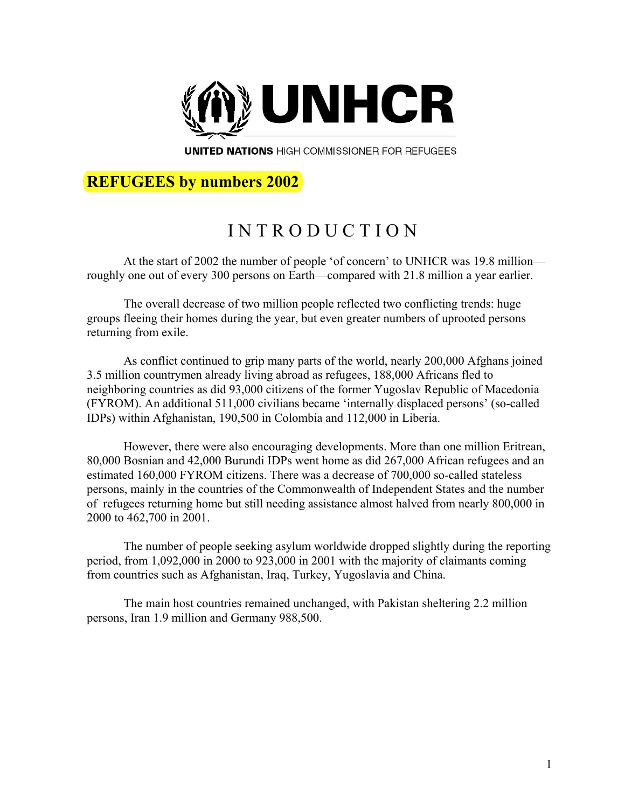

**UNITED NATIONS HIGH COMMISSIONER FOR REFUGEES** 

### **REFUGEES by numbers 2002**

# I N T R O D U C T I O N

At the start of 2002 the number of people 'of concern' to UNHCR was 19.8 million roughly one out of every 300 persons on Earth—compared with 21.8 million a year earlier.

The overall decrease of two million people reflected two conflicting trends: huge groups fleeing their homes during the year, but even greater numbers of uprooted persons returning from exile.

As conflict continued to grip many parts of the world, nearly 200,000 Afghans joined 3.5 million countrymen already living abroad as refugees, 188,000 Africans fled to neighboring countries as did 93,000 citizens of the former Yugoslav Republic of Macedonia (FYROM). An additional 511,000 civilians became 'internally displaced persons' (so-called IDPs) within Afghanistan, 190,500 in Colombia and 112,000 in Liberia.

However, there were also encouraging developments. More than one million Eritrean, 80,000 Bosnian and 42,000 Burundi IDPs went home as did 267,000 African refugees and an estimated 160,000 FYROM citizens. There was a decrease of 700,000 so-called stateless persons, mainly in the countries of the Commonwealth of Independent States and the number of refugees returning home but still needing assistance almost halved from nearly 800,000 in 2000 to 462,700 in 2001.

The number of people seeking asylum worldwide dropped slightly during the reporting period, from 1,092,000 in 2000 to 923,000 in 2001 with the majority of claimants coming from countries such as Afghanistan, Iraq, Turkey, Yugoslavia and China.

The main host countries remained unchanged, with Pakistan sheltering 2.2 million persons, Iran 1.9 million and Germany 988,500.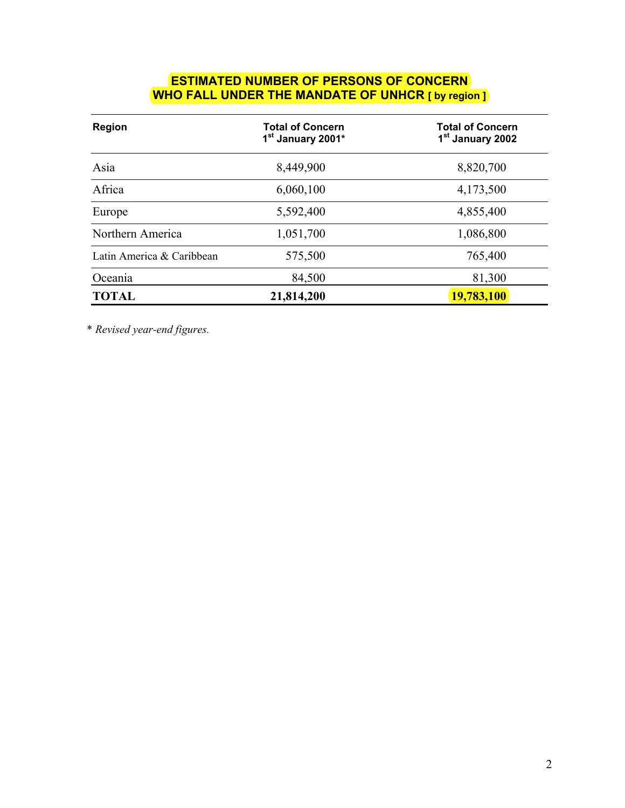#### **ESTIMATED NUMBER OF PERSONS OF CONCERN WHO FALL UNDER THE MANDATE OF UNHCR [ by region ]**

| Region                    | <b>Total of Concern</b><br>1 <sup>st</sup> January 2001* | <b>Total of Concern</b><br>1 <sup>st</sup> January 2002 |
|---------------------------|----------------------------------------------------------|---------------------------------------------------------|
| Asia                      | 8,449,900                                                | 8,820,700                                               |
| Africa                    | 6,060,100                                                | 4,173,500                                               |
| Europe                    | 5,592,400                                                | 4,855,400                                               |
| Northern America          | 1,051,700                                                | 1,086,800                                               |
| Latin America & Caribbean | 575,500                                                  | 765,400                                                 |
| Oceania                   | 84,500                                                   | 81,300                                                  |
| <b>TOTAL</b>              | 21,814,200                                               | 19,783,100                                              |

\* *Revised year-end figures.*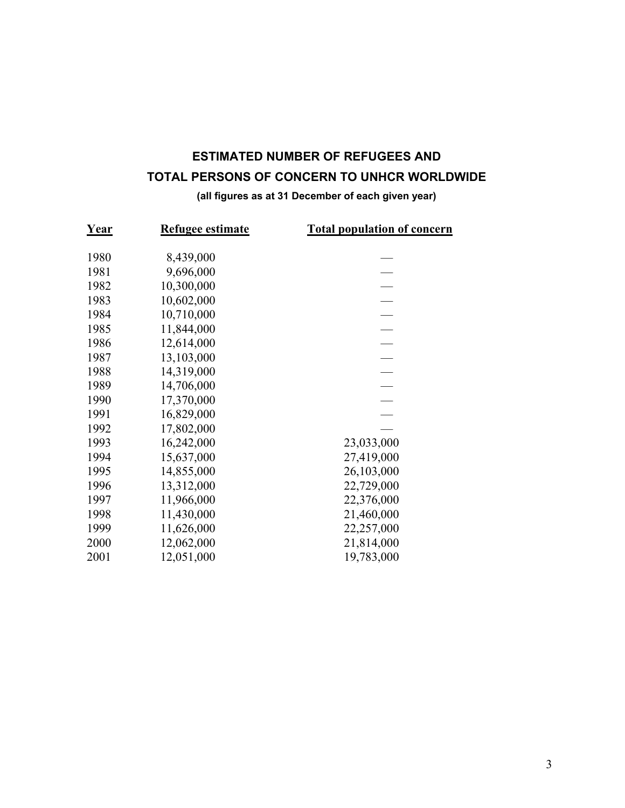### **ESTIMATED NUMBER OF REFUGEES AND TOTAL PERSONS OF CONCERN TO UNHCR WORLDWIDE**

#### **(all figures as at 31 December of each given year)**

| Year | <b>Refugee estimate</b> | <b>Total population of concern</b> |
|------|-------------------------|------------------------------------|
| 1980 | 8,439,000               |                                    |
| 1981 | 9,696,000               |                                    |
| 1982 | 10,300,000              |                                    |
| 1983 | 10,602,000              |                                    |
| 1984 | 10,710,000              |                                    |
| 1985 | 11,844,000              |                                    |
| 1986 | 12,614,000              |                                    |
| 1987 | 13,103,000              |                                    |
| 1988 | 14,319,000              |                                    |
| 1989 | 14,706,000              |                                    |
| 1990 | 17,370,000              |                                    |
| 1991 | 16,829,000              |                                    |
| 1992 |                         |                                    |
| 1993 | 17,802,000              |                                    |
|      | 16,242,000              | 23,033,000                         |
| 1994 | 15,637,000              | 27,419,000                         |
| 1995 | 14,855,000              | 26,103,000                         |
| 1996 | 13,312,000              | 22,729,000                         |
| 1997 | 11,966,000              | 22,376,000                         |
| 1998 | 11,430,000              | 21,460,000                         |
| 1999 | 11,626,000              | 22,257,000                         |
| 2000 | 12,062,000              | 21,814,000                         |
| 2001 | 12,051,000              | 19,783,000                         |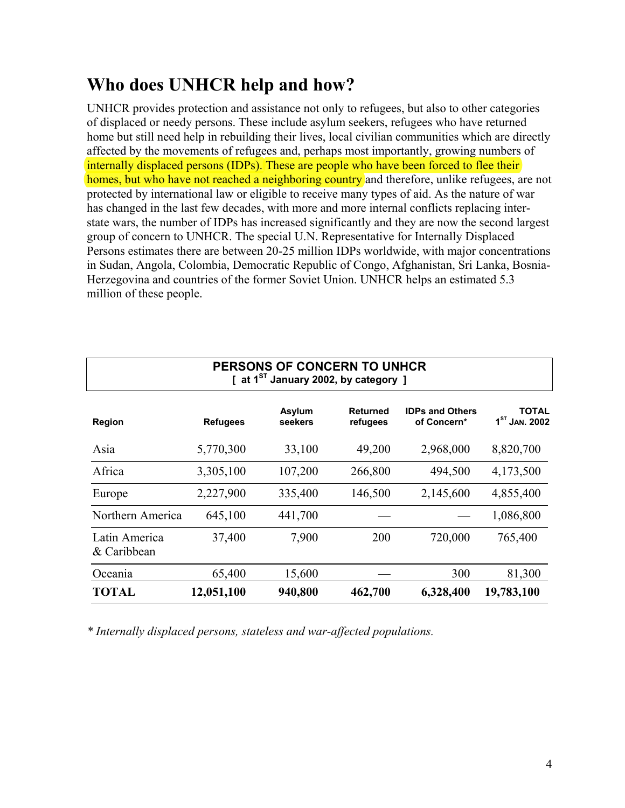# **Who does UNHCR help and how?**

UNHCR provides protection and assistance not only to refugees, but also to other categories of displaced or needy persons. These include asylum seekers, refugees who have returned home but still need help in rebuilding their lives, local civilian communities which are directly affected by the movements of refugees and, perhaps most importantly, growing numbers of internally displaced persons (IDPs). These are people who have been forced to flee their homes, but who have not reached a neighboring country and therefore, unlike refugees, are not protected by international law or eligible to receive many types of aid. As the nature of war has changed in the last few decades, with more and more internal conflicts replacing interstate wars, the number of IDPs has increased significantly and they are now the second largest group of concern to UNHCR. The special U.N. Representative for Internally Displaced Persons estimates there are between 20-25 million IDPs worldwide, with major concentrations in Sudan, Angola, Colombia, Democratic Republic of Congo, Afghanistan, Sri Lanka, Bosnia-Herzegovina and countries of the former Soviet Union. UNHCR helps an estimated 5.3 million of these people.

| PERSONS OF CONCERN TO UNHCR<br>[ at $1^{ST}$ January 2002, by category ] |                 |                   |                             |                                       |                                 |
|--------------------------------------------------------------------------|-----------------|-------------------|-----------------------------|---------------------------------------|---------------------------------|
| Region                                                                   | <b>Refugees</b> | Asylum<br>seekers | <b>Returned</b><br>refugees | <b>IDPs and Others</b><br>of Concern* | <b>TOTAL</b><br>$1ST$ Jan. 2002 |
| Asia                                                                     | 5,770,300       | 33,100            | 49,200                      | 2,968,000                             | 8,820,700                       |
| Africa                                                                   | 3,305,100       | 107,200           | 266,800                     | 494,500                               | 4,173,500                       |
| Europe                                                                   | 2,227,900       | 335,400           | 146,500                     | 2,145,600                             | 4,855,400                       |
| Northern America                                                         | 645,100         | 441,700           |                             |                                       | 1,086,800                       |
| Latin America<br>& Caribbean                                             | 37,400          | 7,900             | 200                         | 720,000                               | 765,400                         |
| Oceania                                                                  | 65,400          | 15,600            |                             | 300                                   | 81,300                          |
| <b>TOTAL</b>                                                             | 12,051,100      | 940,800           | 462,700                     | 6,328,400                             | 19,783,100                      |

*\* Internally displaced persons, stateless and war-affected populations.*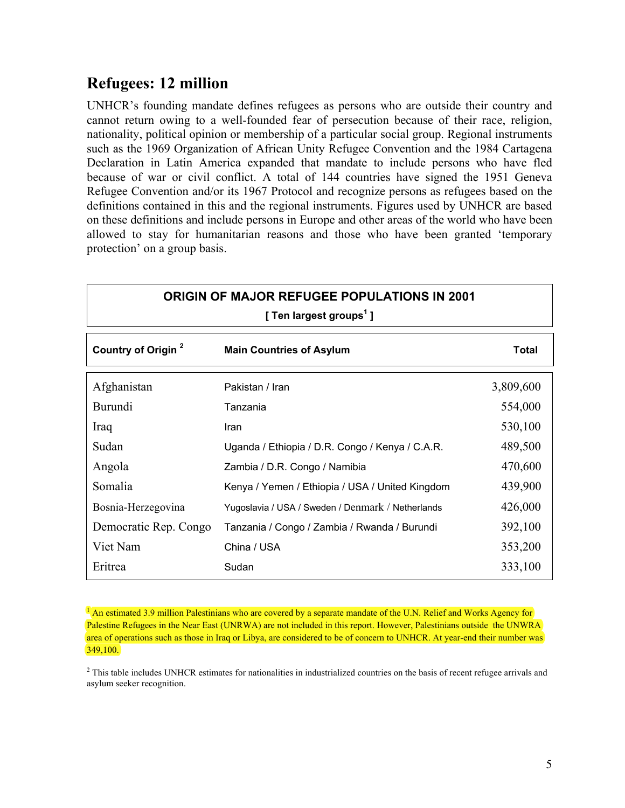### **Refugees: 12 million**

UNHCR's founding mandate defines refugees as persons who are outside their country and cannot return owing to a well-founded fear of persecution because of their race, religion, nationality, political opinion or membership of a particular social group. Regional instruments such as the 1969 Organization of African Unity Refugee Convention and the 1984 Cartagena Declaration in Latin America expanded that mandate to include persons who have fled because of war or civil conflict. A total of 144 countries have signed the 1951 Geneva Refugee Convention and/or its 1967 Protocol and recognize persons as refugees based on the definitions contained in this and the regional instruments. Figures used by UNHCR are based on these definitions and include persons in Europe and other areas of the world who have been allowed to stay for humanitarian reasons and those who have been granted 'temporary protection' on a group basis.

| ORIGIN OF MAJOR REFUGEE POPULATIONS IN 2001<br>[ Ten largest groups <sup>1</sup> ] |                                                   |           |
|------------------------------------------------------------------------------------|---------------------------------------------------|-----------|
| Country of Origin <sup>2</sup><br><b>Total</b><br><b>Main Countries of Asylum</b>  |                                                   |           |
| Afghanistan                                                                        | Pakistan / Iran                                   | 3,809,600 |
| Burundi                                                                            | Tanzania                                          | 554,000   |
| Iraq                                                                               | Iran                                              | 530,100   |
| Sudan                                                                              | Uganda / Ethiopia / D.R. Congo / Kenya / C.A.R.   | 489,500   |
| Angola                                                                             | Zambia / D.R. Congo / Namibia                     | 470,600   |
| Somalia                                                                            | Kenya / Yemen / Ethiopia / USA / United Kingdom   | 439,900   |
| Bosnia-Herzegovina                                                                 | Yugoslavia / USA / Sweden / Denmark / Netherlands | 426,000   |
| Democratic Rep. Congo                                                              | Tanzania / Congo / Zambia / Rwanda / Burundi      | 392,100   |
| Viet Nam                                                                           | China / USA                                       | 353,200   |
| Eritrea                                                                            | Sudan                                             | 333,100   |

<sup>1</sup> An estimated 3.9 million Palestinians who are covered by a separate mandate of the U.N. Relief and Works Agency for Palestine Refugees in the Near East (UNRWA) are not included in this report. However, Palestinians outside the UNWRA area of operations such as those in Iraq or Libya, are considered to be of concern to UNHCR. At year-end their number was  $349,100.$ 

<sup>2</sup> This table includes UNHCR estimates for nationalities in industrialized countries on the basis of recent refugee arrivals and asylum seeker recognition.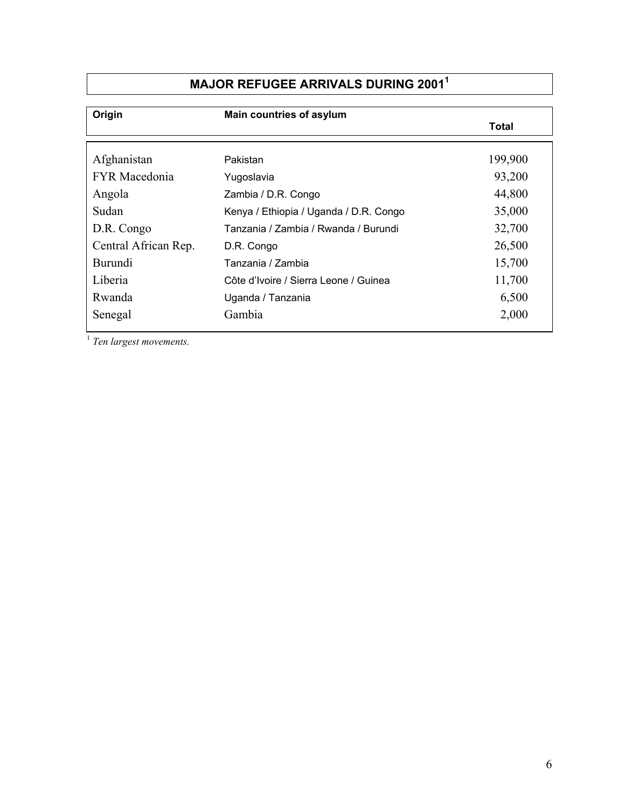# **MAJOR REFUGEE ARRIVALS DURING 20011**

| Origin               | Main countries of asylum               |         |
|----------------------|----------------------------------------|---------|
|                      |                                        | Total   |
|                      |                                        |         |
| Afghanistan          | Pakistan                               | 199,900 |
| <b>FYR</b> Macedonia | Yugoslavia                             | 93,200  |
| Angola               | Zambia / D.R. Congo                    | 44,800  |
| Sudan                | Kenya / Ethiopia / Uganda / D.R. Congo | 35,000  |
| D.R. Congo           | Tanzania / Zambia / Rwanda / Burundi   | 32,700  |
| Central African Rep. | D.R. Congo                             | 26,500  |
| Burundi              | Tanzania / Zambia                      | 15,700  |
| Liberia              | Côte d'Ivoire / Sierra Leone / Guinea  | 11,700  |
| Rwanda               | Uganda / Tanzania                      | 6,500   |
| Senegal              | Gambia                                 | 2,000   |
|                      |                                        |         |

<sup>1</sup> *Ten largest movements.*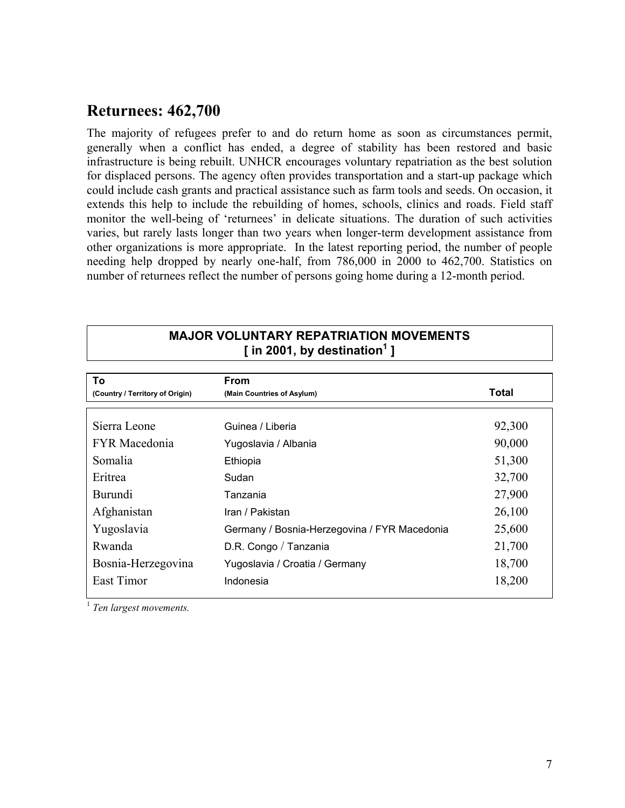### **Returnees: 462,700**

The majority of refugees prefer to and do return home as soon as circumstances permit, generally when a conflict has ended, a degree of stability has been restored and basic infrastructure is being rebuilt. UNHCR encourages voluntary repatriation as the best solution for displaced persons. The agency often provides transportation and a start-up package which could include cash grants and practical assistance such as farm tools and seeds. On occasion, it extends this help to include the rebuilding of homes, schools, clinics and roads. Field staff monitor the well-being of 'returnees' in delicate situations. The duration of such activities varies, but rarely lasts longer than two years when longer-term development assistance from other organizations is more appropriate. In the latest reporting period, the number of people needing help dropped by nearly one-half, from 786,000 in 2000 to 462,700. Statistics on number of returnees reflect the number of persons going home during a 12-month period.

#### **MAJOR VOLUNTARY REPATRIATION MOVEMENTS [ in 2001, by destination1 ]**

| To                              | <b>From</b>                                  |        |
|---------------------------------|----------------------------------------------|--------|
| (Country / Territory of Origin) | (Main Countries of Asylum)                   | Total  |
|                                 |                                              |        |
| Sierra Leone                    | Guinea / Liberia                             | 92,300 |
| <b>FYR</b> Macedonia            | Yugoslavia / Albania                         | 90,000 |
| Somalia                         | Ethiopia                                     | 51,300 |
| Eritrea                         | Sudan                                        | 32,700 |
| Burundi                         | Tanzania                                     | 27,900 |
| Afghanistan                     | Iran / Pakistan                              | 26,100 |
| Yugoslavia                      | Germany / Bosnia-Herzegovina / FYR Macedonia | 25,600 |
| Rwanda                          | D.R. Congo / Tanzania                        | 21,700 |
| Bosnia-Herzegovina              | Yugoslavia / Croatia / Germany               | 18,700 |
| East Timor                      | Indonesia                                    | 18,200 |

<sup>1</sup> *Ten largest movements.*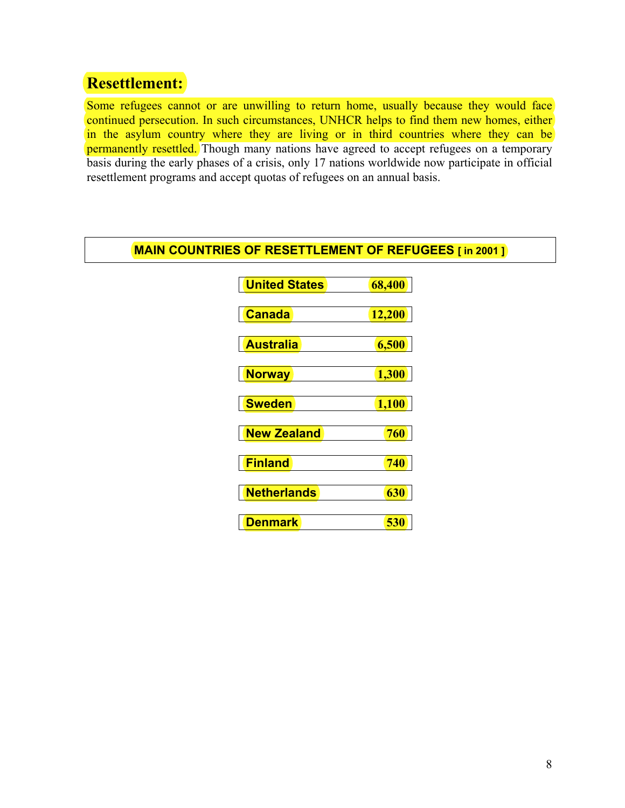# **Resettlement:**

Some refugees cannot or are unwilling to return home, usually because they would face continued persecution. In such circumstances, UNHCR helps to find them new homes, either in the asylum country where they are living or in third countries where they can be permanently resettled. Though many nations have agreed to accept refugees on a temporary basis during the early phases of a crisis, only 17 nations worldwide now participate in official resettlement programs and accept quotas of refugees on an annual basis.

#### **MAIN COUNTRIES OF RESETTLEMENT OF REFUGEES [ in 2001 ]**

| <b>United States</b> | 68,400 |
|----------------------|--------|
| Canada               | 12,200 |
| <b>Australia</b>     | 6,500  |
| <b>Norway</b>        | 1,300  |
| <b>Sweden</b>        | 1,100  |
| <b>New Zealand</b>   | 760    |
| <b>Finland</b>       | 740    |
| <b>Netherlands</b>   | 630    |
| Denmark              | 530    |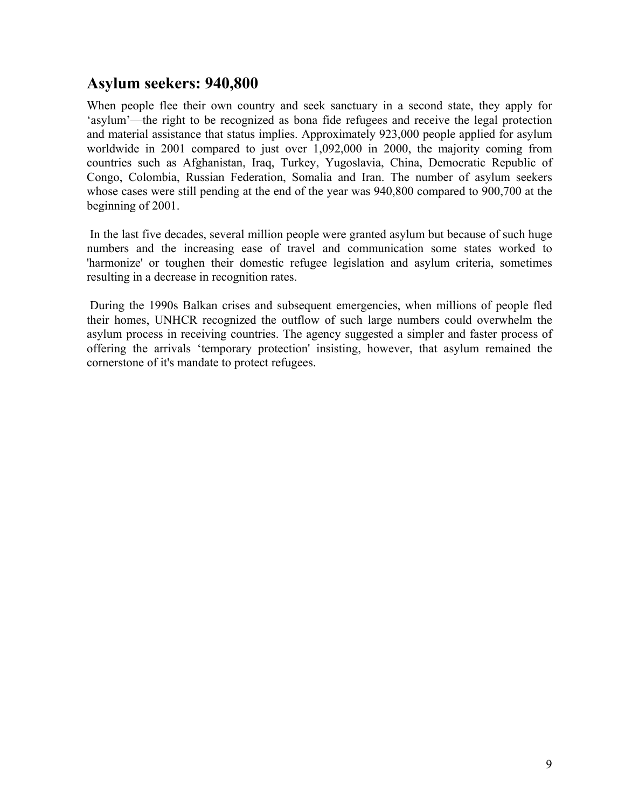### **Asylum seekers: 940,800**

When people flee their own country and seek sanctuary in a second state, they apply for 'asylum'—the right to be recognized as bona fide refugees and receive the legal protection and material assistance that status implies. Approximately 923,000 people applied for asylum worldwide in 2001 compared to just over 1,092,000 in 2000, the majority coming from countries such as Afghanistan, Iraq, Turkey, Yugoslavia, China, Democratic Republic of Congo, Colombia, Russian Federation, Somalia and Iran. The number of asylum seekers whose cases were still pending at the end of the year was 940,800 compared to 900,700 at the beginning of 2001.

In the last five decades, several million people were granted asylum but because of such huge numbers and the increasing ease of travel and communication some states worked to 'harmonize' or toughen their domestic refugee legislation and asylum criteria, sometimes resulting in a decrease in recognition rates.

During the 1990s Balkan crises and subsequent emergencies, when millions of people fled their homes, UNHCR recognized the outflow of such large numbers could overwhelm the asylum process in receiving countries. The agency suggested a simpler and faster process of offering the arrivals 'temporary protection' insisting, however, that asylum remained the cornerstone of it's mandate to protect refugees.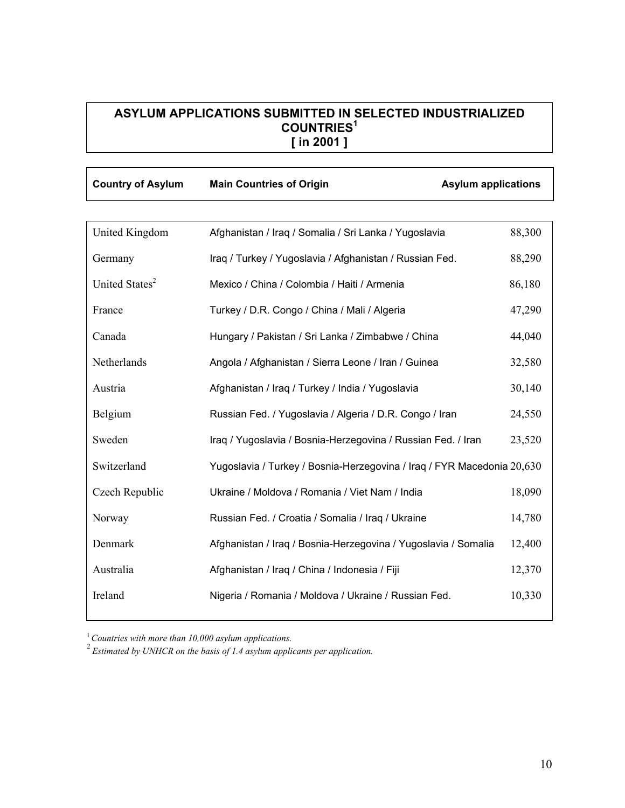#### **ASYLUM APPLICATIONS SUBMITTED IN SELECTED INDUSTRIALIZED COUNTRIES<sup>1</sup> [ in 2001 ]**

| <b>Country of Asylum</b> | <b>Main Countries of Origin</b> | <b>Asylum applications</b> |
|--------------------------|---------------------------------|----------------------------|
|                          |                                 |                            |
|                          |                                 |                            |

| United Kingdom             | Afghanistan / Iraq / Somalia / Sri Lanka / Yugoslavia                  | 88,300 |
|----------------------------|------------------------------------------------------------------------|--------|
| Germany                    | Iraq / Turkey / Yugoslavia / Afghanistan / Russian Fed.                | 88,290 |
| United States <sup>2</sup> | Mexico / China / Colombia / Haiti / Armenia                            | 86,180 |
| France                     | Turkey / D.R. Congo / China / Mali / Algeria                           | 47,290 |
| Canada                     | Hungary / Pakistan / Sri Lanka / Zimbabwe / China                      | 44,040 |
| Netherlands                | Angola / Afghanistan / Sierra Leone / Iran / Guinea                    | 32,580 |
| Austria                    | Afghanistan / Iraq / Turkey / India / Yugoslavia                       | 30,140 |
| Belgium                    | Russian Fed. / Yugoslavia / Algeria / D.R. Congo / Iran                | 24,550 |
| Sweden                     | Iraq / Yugoslavia / Bosnia-Herzegovina / Russian Fed. / Iran           | 23,520 |
| Switzerland                | Yugoslavia / Turkey / Bosnia-Herzegovina / Iraq / FYR Macedonia 20,630 |        |
| Czech Republic             | Ukraine / Moldova / Romania / Viet Nam / India                         | 18,090 |
| Norway                     | Russian Fed. / Croatia / Somalia / Iraq / Ukraine                      | 14,780 |
| Denmark                    | Afghanistan / Iraq / Bosnia-Herzegovina / Yugoslavia / Somalia         | 12,400 |
| Australia                  | Afghanistan / Iraq / China / Indonesia / Fiji                          | 12,370 |
| Ireland                    | Nigeria / Romania / Moldova / Ukraine / Russian Fed.                   | 10,330 |
|                            |                                                                        |        |

<sup>1</sup>*Countries with more than 10,000 asylum applications.* 

<sup>2</sup>*Estimated by UNHCR on the basis of 1.4 asylum applicants per application.*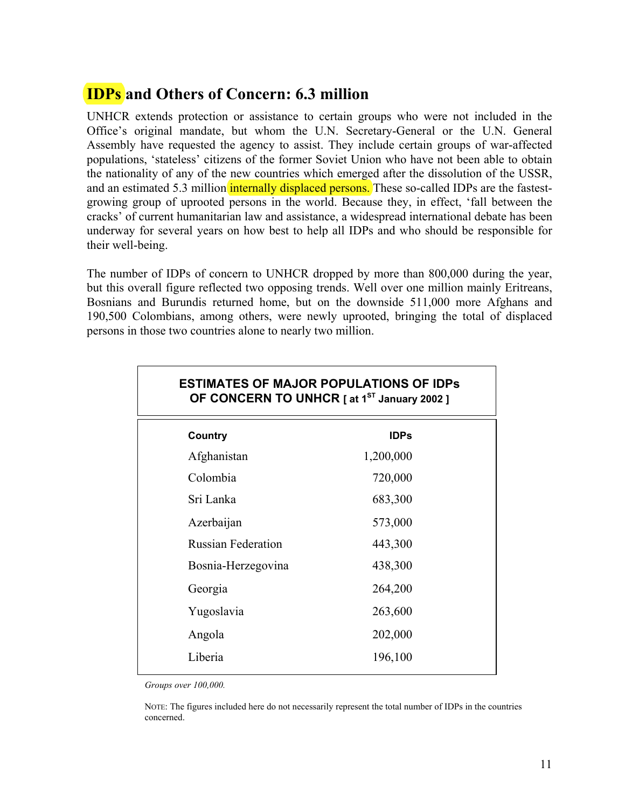## **IDPs and Others of Concern: 6.3 million**

UNHCR extends protection or assistance to certain groups who were not included in the Office's original mandate, but whom the U.N. Secretary-General or the U.N. General Assembly have requested the agency to assist. They include certain groups of war-affected populations, 'stateless' citizens of the former Soviet Union who have not been able to obtain the nationality of any of the new countries which emerged after the dissolution of the USSR, and an estimated 5.3 million internally displaced persons. These so-called IDPs are the fastestgrowing group of uprooted persons in the world. Because they, in effect, 'fall between the cracks' of current humanitarian law and assistance, a widespread international debate has been underway for several years on how best to help all IDPs and who should be responsible for their well-being.

The number of IDPs of concern to UNHCR dropped by more than 800,000 during the year, but this overall figure reflected two opposing trends. Well over one million mainly Eritreans, Bosnians and Burundis returned home, but on the downside 511,000 more Afghans and 190,500 Colombians, among others, were newly uprooted, bringing the total of displaced persons in those two countries alone to nearly two million.

| ESTIMATES OF MAJOR POPULATIONS OF IDPS<br>OF CONCERN TO UNHCR [ at 1 <sup>ST</sup> January 2002 ] |             |  |
|---------------------------------------------------------------------------------------------------|-------------|--|
| Country                                                                                           | <b>IDPs</b> |  |
| Afghanistan                                                                                       | 1,200,000   |  |
| Colombia                                                                                          | 720,000     |  |
| Sri Lanka                                                                                         | 683,300     |  |
| Azerbaijan                                                                                        | 573,000     |  |
| <b>Russian Federation</b>                                                                         | 443,300     |  |
| Bosnia-Herzegovina                                                                                | 438,300     |  |
| Georgia                                                                                           | 264,200     |  |
| Yugoslavia                                                                                        | 263,600     |  |
| Angola                                                                                            | 202,000     |  |
| Liberia                                                                                           | 196,100     |  |
|                                                                                                   |             |  |

# **ESTIMATES OF MAJOR POPULATIONS OF IDPs**

*Groups over 100,000.* 

NOTE: The figures included here do not necessarily represent the total number of IDPs in the countries concerned.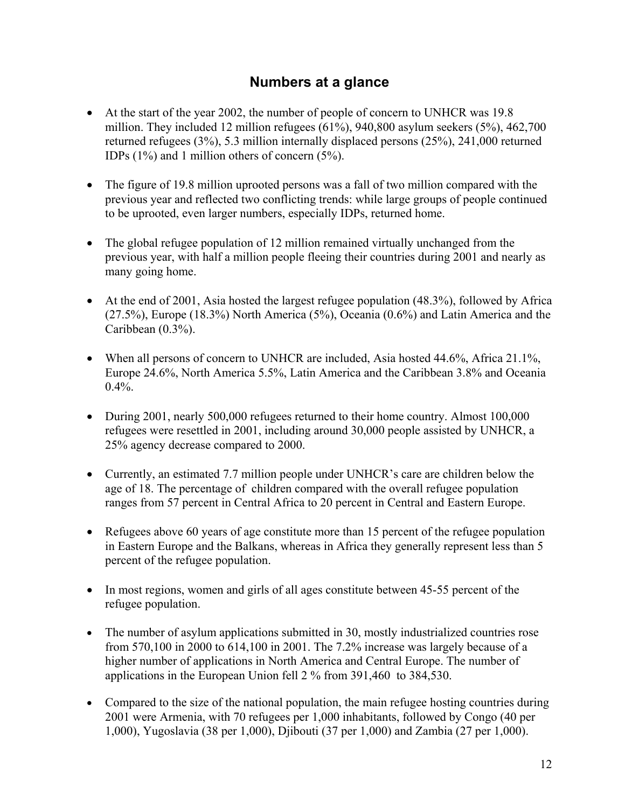### **Numbers at a glance**

- At the start of the year 2002, the number of people of concern to UNHCR was 19.8 million. They included 12 million refugees (61%), 940,800 asylum seekers (5%), 462,700 returned refugees (3%), 5.3 million internally displaced persons (25%), 241,000 returned IDPs (1%) and 1 million others of concern (5%).
- The figure of 19.8 million uprooted persons was a fall of two million compared with the previous year and reflected two conflicting trends: while large groups of people continued to be uprooted, even larger numbers, especially IDPs, returned home.
- The global refugee population of 12 million remained virtually unchanged from the previous year, with half a million people fleeing their countries during 2001 and nearly as many going home.
- At the end of 2001, Asia hosted the largest refugee population (48.3%), followed by Africa (27.5%), Europe (18.3%) North America (5%), Oceania (0.6%) and Latin America and the Caribbean (0.3%).
- When all persons of concern to UNHCR are included, Asia hosted 44.6%, Africa 21.1%, Europe 24.6%, North America 5.5%, Latin America and the Caribbean 3.8% and Oceania  $0.4\%$ .
- During 2001, nearly 500,000 refugees returned to their home country. Almost 100,000 refugees were resettled in 2001, including around 30,000 people assisted by UNHCR, a 25% agency decrease compared to 2000.
- Currently, an estimated 7.7 million people under UNHCR's care are children below the age of 18. The percentage of children compared with the overall refugee population ranges from 57 percent in Central Africa to 20 percent in Central and Eastern Europe.
- Refugees above 60 years of age constitute more than 15 percent of the refugee population in Eastern Europe and the Balkans, whereas in Africa they generally represent less than 5 percent of the refugee population.
- In most regions, women and girls of all ages constitute between 45-55 percent of the refugee population.
- The number of asylum applications submitted in 30, mostly industrialized countries rose from 570,100 in 2000 to 614,100 in 2001. The 7.2% increase was largely because of a higher number of applications in North America and Central Europe. The number of applications in the European Union fell 2 % from 391,460 to 384,530.
- Compared to the size of the national population, the main refugee hosting countries during 2001 were Armenia, with 70 refugees per 1,000 inhabitants, followed by Congo (40 per 1,000), Yugoslavia (38 per 1,000), Djibouti (37 per 1,000) and Zambia (27 per 1,000).